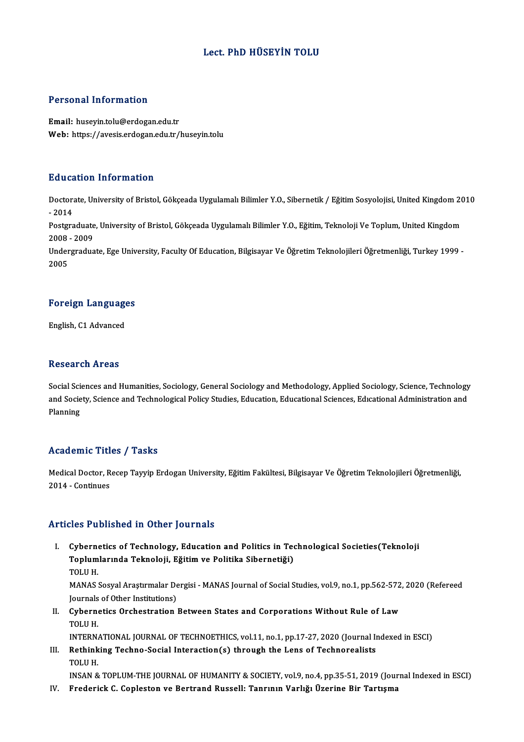#### Lect. PhD HÜSEYİN TOLU

#### Personal Information

Email: huseyin.tolu@erdogan.edu.tr Web: https://avesis.erdogan.edu.tr/huseyin.tolu

#### Education Information

**Education Information**<br>Doctorate, University of Bristol, Gökçeada Uygulamalı Bilimler Y.O., Sibernetik / Eğitim Sosyolojisi, United Kingdom 2010<br>2014 Dectors<br>Doctors<br>- 2014 Doctorate, University of Bristol, Gökçeada Uygulamalı Bilimler Y.O., Sibernetik / Eğitim Sosyolojisi, United Kingdom 20<br>- 2014<br>Postgraduate, University of Bristol, Gökçeada Uygulamalı Bilimler Y.O., Eğitim, Teknoloji Ve To - 2014<br>Postgraduate<br>2008 - 2009<br>Undergradua Postgraduate, University of Bristol, Gökçeada Uygulamalı Bilimler Y.O., Eğitim, Teknoloji Ve Toplum, United Kingdom<br>2008 - 2009<br>Undergraduate, Ege University, Faculty Of Education, Bilgisayar Ve Öğretim Teknolojileri Öğret

2008<br>Under<br>2005

# <sub>2005</sub><br>Foreign Languages F<mark>oreign Languag</mark>e<br>English, C1 Advanced

English, C1 Advanced<br>Research Areas

Social Sciences and Humanities, Sociology, General Sociology and Methodology, Applied Sociology, Science, Technology reseen on III oas<br>Social Sciences and Humanities, Sociology, General Sociology and Methodology, Applied Sociology, Science, Technology<br>Alanning Social Sci<br>and Socie<br>Planning

# Planning<br>Academic Titles / Tasks

**Academic Titles / Tasks**<br>Medical Doctor, Recep Tayyip Erdogan University, Eğitim Fakültesi, Bilgisayar Ve Öğretim Teknolojileri Öğretmenliği, Medical Doctor, R<br>2014 - Continues

# Articles Published in Other Journals

rticles Published in Other Journals<br>I. Cybernetics of Technology, Education and Politics in Technological Societies(Teknoloji<br>Teplumlaunda Teknoloji, Făitim ve Politika Sibernetiăi) SEET ABIBIBA II OTIET JOATIAIB<br>Cybernetics of Technology, Education and Politics in Teo<br>Toplumlarında Teknoloji, Eğitim ve Politika Sibernetiği)<br>TOLUM Cybern<br>Toplum<br>TOLU H.<br>MANAS Toplumlarında Teknoloji, Eğitim ve Politika Sibernetiği)<br>TOLU H.<br>MANAS Sosyal Araştırmalar Dergisi - MANAS Journal of Social Studies, vol.9, no.1, pp.562-572, 2020 (Refereed<br>Journals of Other Institutions) TOLU H.<br>MANAS Sosyal Araştırmalar De<br>Journals of Other Institutions)<br>Cybornatics Orsbestration

MANAS Sosyal Araştırmalar Dergisi - MANAS Journal of Social Studies, vol.9, no.1, pp.562-572<br>Journals of Other Institutions)<br>II. Cybernetics Orchestration Between States and Corporations Without Rule of Law<br>TOLU H

Journal<mark>s</mark><br>Cybern<br>TOLU H.<br>INTERN TOLU H.<br>INTERNATIONAL JOURNAL OF TECHNOETHICS, vol.11, no.1, pp.17-27, 2020 (Journal Indexed in ESCI)

TOLU H.<br>INTERNATIONAL JOURNAL OF TECHNOETHICS, vol.11, no.1, pp.17-27, 2020 (Journal In<br>III. Rethinking Techno-Social Interaction(s) through the Lens of Technorealists<br>TOLU H INTERNA<br>Rethink<br>TOLU H.<br>INSAN 8 TOLU H.<br>INSAN & TOPLUM-THE JOURNAL OF HUMANITY & SOCIETY, vol.9, no.4, pp.35-51, 2019 (Journal Indexed in ESCI)

IV. Frederick C. Copleston ve Bertrand Russell: Tanrının Varlığı Üzerine Bir Tartışma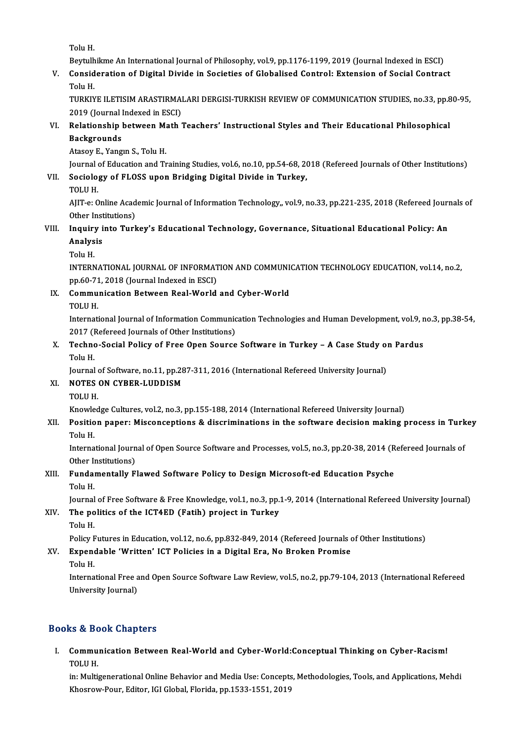Tolu<sub>H.</sub>

Beytulhikme An International Journal of Philosophy, vol.9, pp.1176-1199, 2019 (Journal Indexed in ESCI)

Tolu H.<br>Beytulhikme An International Journal of Philosophy, vol.9, pp.1176-1199, 2019 (Journal Indexed in ESCI)<br>V. Consideration of Digital Divide in Societies of Globalised Control: Extension of Social Contract<br>Telu H Beytulh<br>Consid<br>Tolu H.<br>TUDKIY Consideration of Digital Divide in Societies of Globalised Control: Extension of Social Contract<br>Tolu H.<br>TURKIYE ILETISIM ARASTIRMALARI DERGISI-TURKISH REVIEW OF COMMUNICATION STUDIES, no.33, pp.80-95,<br>2019 (Jaurnal Indoxe

Tolu H.<br>TURKIYE ILETISIM ARASTIRMAI<br>2019 (Journal Indexed in ESCI)<br>Belationshin between Math TURKIYE ILETISIM ARASTIRMALARI DERGISI-TURKISH REVIEW OF COMMUNICATION STUDIES, no.33, pp.8<br>2019 (Journal Indexed in ESCI)<br>VI. Relationship between Math Teachers' Instructional Styles and Their Educational Philosophical<br>Ba

# 2019 (Journal)<br>Relationship<br>Backgrounds<br>Atasay E. Vang Relationship between M:<br>Backgrounds<br>Atasoy E., Yangın S., Tolu H.<br>Journal of Education and Tr

Backgrounds<br>Atasoy E., Yangın S., Tolu H.<br>Journal of Education and Training Studies, vol.6, no.10, pp.54-68, 2018 (Refereed Journals of Other Institutions)<br>Sociology of ELOSS unon Pridging Digital Divide in Turkey Journal<br>S<mark>ociolo</mark><br>TOLU H.<br>AUT et O

# Atasoy E., Yangın S., Tolu H.<br>Journal of Education and Training Studies, vol.6, no.10, pp.54-68, 20<br>VII. Sociology of FLOSS upon Bridging Digital Divide in Turkey,<br>TOLU H.

Sociology of FLOSS upon Bridging Digital Divide in Turkey,<br>TOLU H.<br>AJIT-e: Online Academic Journal of Information Technology,, vol.9, no.33, pp.221-235, 2018 (Refereed Journals of<br>Other Institutione) TOLU H.<br>AJIT-e: Online Acad<br>Other Institutions)<br>Inquiry into Turk AJIT-e: Online Academic Journal of Information Technology,, vol.9, no.33, pp.221-235, 2018 (Refereed Journ<br>Other Institutions)<br>VIII. Inquiry into Turkey's Educational Technology, Governance, Situational Educational Policy:

## Other Institutions)<br>Inquiry into Turl<br>Analysis<br>Tolu H. I<mark>nquir</mark><br>Analys<br>Tolu H.<br>INTERN

INTERNATIONAL JOURNAL OF INFORMATION AND COMMUNICATION TECHNOLOGY EDUCATION, vol.14, no.2, Tolu H.<br>INTERNATIONAL JOURNAL OF INFORMAT<br>pp.60-71, 2018 (Journal Indexed in ESCI)<br>Communisation Petusen Beal World

### IX. Communication Between Real-World and Cyber-World pp.60-71<br>Commu<br>TOLU H.<br>Internati

Communication Between Real-World and Cyber-World<br>TOLU H.<br>International Journal of Information Communication Technologies and Human Development, vol.9, no.3, pp.38-54,<br>2017 (Pefereed Journals of Other Institutions) TOLU H.<br>International Journal of Information Communic<br>2017 (Refereed Journals of Other Institutions)<br>Techno Sosial Bolisy of Free Open Source International Journal of Information Communication Technologies and Human Development, vol.9, r<br>2017 (Refereed Journals of Other Institutions)<br>X. Techno-Social Policy of Free Open Source Software in Turkey – A Case Study o

## 2017 (H<br>Techno<br>Tolu H.<br>Journal Techno-Social Policy of Free Open Source Software in Turkey – A Case Study of<br>Tolu H.<br>Journal of Software, no.11, pp.287-311, 2016 (International Refereed University Journal)<br>NOTES ON CYRER J UDDISM Tolu H.<br>Journal of Software, no.11, pp.2<br>XI. NOTES ON CYBER-LUDDISM<br>TOLU H.

Journal of Software, no.11, pp.287-311, 2016 (International Refereed University Journal)

NOTES ON CYBER-LUDDISM<br>TOLU H.<br>Knowledge Cultures, vol.2, no.3, pp.155-188, 2014 (International Refereed University Journal)<br>Resition nanory Missonsentions & discriminations in the seftware desision meking r

### XII. Position paper: Misconceptions & discriminations in the software decision making process in Turkey<br>Tolu H. Knowle<br>**Positio**<br>Tolu H. Position paper: Misconceptions & discriminations in the software decision making process in Turk<br>Tolu H.<br>International Journal of Open Source Software and Processes, vol.5, no.3, pp.20-38, 2014 (Refereed Journals of<br>Other

Tolu H.<br>International Journ<br>Other Institutions)<br>Eundementelly E International Journal of Open Source Software and Processes, vol.5, no.3, pp.20-38, 2014 (R<br>Other Institutions)<br>XIII. Fundamentally Flawed Software Policy to Design Microsoft-ed Education Psyche<br>Toly H

# Other I<br>**Funda**<br>Tolu H.<br>Journel Fundamentally Flawed Software Policy to Design Microsoft-ed Education Psyche<br>Tolu H.<br>Journal of Free Software & Free Knowledge, vol.1, no.3, pp.1-9, 2014 (International Refereed University Journal)<br>The Politics of the ICT4

### Tolu H.<br>Journal of Free Software & Free Knowledge, vol.1, no.3, pp.<br>XIV. The politics of the ICT4ED (Fatih) project in Turkey<br>Tolu H. Journal<br><mark>The po</mark><br>Tolu H.<br>Policy <sup>E</sup> The politics of the ICT4ED (Fatih) project in Turkey<br>Tolu H.<br>Policy Futures in Education, vol.12, no.6, pp.832-849, 2014 (Refereed Journals of Other Institutions)<br>Expordable 'Writton' ICT Polisies in a Digital Era. No Prok

### XV. Expendable 'Written' ICT Policies in a Digital Era, No Broken Promise Policy F<br>Expend<br>Tolu H.<br>Interna

Expendable 'Written' ICT Policies in a Digital Era, No Broken Promise<br>Tolu H.<br>International Free and Open Source Software Law Review, vol.5, no.2, pp.79-104, 2013 (International Refereed<br>University Journal) Tolu H.<br>International Free a<br>University Journal)

# University Journal)<br>Books & Book Chapters

ooks & Book Chapters<br>I. Communication Between Real-World and Cyber-World:Conceptual Thinking on Cyber-Racism!<br>TOUU H Extracted<br>Commu<br>TOLU H. Communication Between Real-World and Cyber-World:Conceptual Thinking on Cyber-Racism!<br>TOLU H.<br>in: Multigenerational Online Behavior and Media Use: Concepts, Methodologies, Tools, and Applications, Mehdi

TOLU H.<br>in: Multigenerational Online Behavior and Media Use: Concepts<br>Khosrow-Pour, Editor, IGI Global, Florida, pp.1533-1551, 2019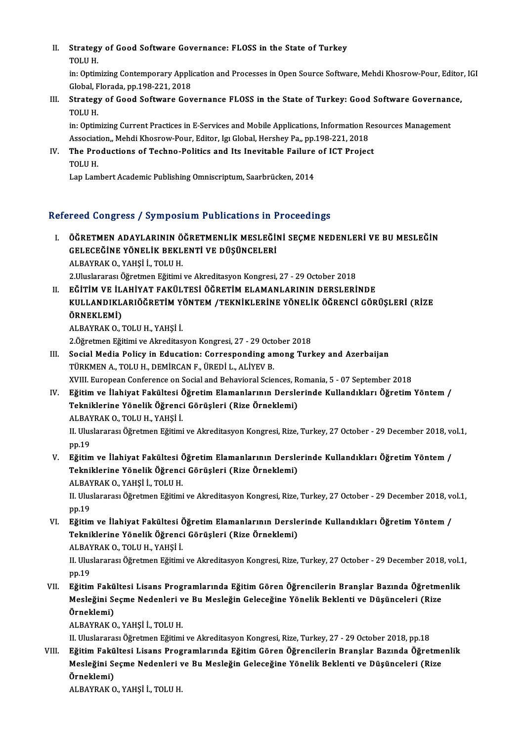II. Strategy of Good Software Governance: FLOSS in the State of Turkey<br>TOLU H Strategy<br>TOLU H.<br>in: Ontim

TOLU H.<br>in: Optimizing Contemporary Application and Processes in Open Source Software, Mehdi Khosrow-Pour, Editor, IGI TOLU H.<br>in: Optimizing Contemporary Applic<br>Global, Florada, pp.198-221, 2018<br>Strategy of Cood Software Cov

### III. Strategy of Good Software Governance FLOSS in the State of Turkey: Good Software Governance,<br>TOLU H. Global, F<br>Strategy<br>TOLU H.<br>in: Ontim Strategy of Good Software Governance FLOSS in the State of Turkey: Good Software Governanct<br>TOLU H.<br>in: Optimizing Current Practices in E-Services and Mobile Applications, Information Resources Management<br>Association, Mobd

TOLU H.<br>in: Optimizing Current Practices in E-Services and Mobile Applications, Information R<br>Association,, Mehdi Khosrow-Pour, Editor, Igı Global, Hershey Pa,, pp.198-221, 2018<br>The Preductions of Teshne Polities and Its I in: Optimizing Current Practices in E-Services and Mobile Applications, Information Ref.<br>Association,, Mehdi Khosrow-Pour, Editor, Igi Global, Hershey Pa,, pp.198-221, 2018<br>IV. The Productions of Techno-Politics and Its In

Associat<br>The Pro<br>TOLU H.

TOLU H.<br>Lap Lambert Academic Publishing Omniscriptum, Saarbrücken, 2014

#### Refereed Congress / Symposium Publications in Proceedings

- efereed Congress / Symposium Publications in Proceedings<br>I. ÖĞRETMEN ADAYLARININ ÖĞRETMENLİK MESLEĞİNİ SEÇME NEDENLERİ VE BU MESLEĞİN<br>- CELECEĞİNE YÖNELİK REKLENTİ VE DÜŞÜNCELERİ TOCA GÖNETCES") OJ MPOSTAM T ABROATIONS IN T<br>ÖĞRETMEN ADAYLARININ ÖĞRETMENLİK MESLEĞİ<br>GELECEĞİNE YÖNELİK BEKLENTİ VE DÜŞÜNCELERİ ÖĞRETMEN ADAYLARININ Ö<br>GELECEĞİNE YÖNELİK BEKL<br>ALBAYRAK O., YAHŞİ İ., TOLU H.<br>2 Huskasasa Öğretmen Eğitimi GELECEĞİNE YÖNELİK BEKLENTİ VE DÜŞÜNCELERİ<br>ALBAYRAK O., YAHŞİ İ., TOLU H.<br>2.Uluslararası Öğretmen Eğitimi ve Akreditasyon Kongresi, 27 - 29 October 2018
- II. EĞİTİM VE İLAHİYAT FAKÜLTESİ ÖĞRETİM ELAMANLARININ DERSLERİNDE 2.Uluslararası Öğretmen Eğitimi ve Akreditasyon Kongresi, 27 - 29 October 2018<br>EĞİTİM VE İLAHİYAT FAKÜLTESİ ÖĞRETİM ELAMANLARININ DERSLERİNDE<br>KULLANDIKLARIÖĞRETİM YÖNTEM /TEKNİKLERİNE YÖNELİK ÖĞRENCİ GÖRÜŞLERİ (RİZE<br>ÖRNEKL EĞİTİM VE İL.<br>KULLANDIKL<br>ÖRNEKLEMİ)<br>ALPAVPAK O KULLANDIKLARIÖĞRETİM Y<br>ÖRNEKLEMİ)<br>ALBAYRAK O., TOLU H., YAHŞİ İ.<br>2 Öğretmen Fğitimi ve Almeditesi ÖRNEKLEMİ)<br>ALBAYRAK O., TOLU H., YAHŞİ İ.<br>2.Öğretmen Eğitimi ve Akreditasyon Kongresi, 27 - 29 October 2018

- ALBAYRAK O., TOLU H., YAHŞİ İ.<br>2.Öğretmen Eğitimi ve Akreditasyon Kongresi, 27 29 October 2018<br>III. Social Media Policy in Education: Corresponding among Turkey and Azerbaijan<br>TÜRKAEN A. TOLU H. DEMİRCAN E. ÜREDİ L. ALİY TÜRKMENA.,TOLUH.,DEMİRCANF.,ÜREDİL.,ALİYEVB. Social Media Policy in Education: Corresponding among Turkey and Azerbaijan<br>TÜRKMEN A., TOLU H., DEMİRCAN F., ÜREDİ L., ALİYEV B.<br>XVIII. European Conference on Social and Behavioral Sciences, Romania, 5 - 07 September 2018 XVIII. European Conference on Social and Behavioral Sciences, Romania, 5 - 07 September 2018
- IV. Eğitim ve İlahiyat Fakültesi Öğretim Elamanlarının Derslerinde Kullandıkları Öğretim Yöntem / Tekniklerine Yönelik Öğrenci Görüşleri (Rize Örneklemi) II. Uluslararası Öğretmen Eğitimi ve Akreditasyon Kongresi, Rize, Turkey, 27 October - 29 December 2018, vol.1,<br>pp.19 ALBAYRAK O., TOLU H., YAHSİ İ.
- II. Uluslararası Öğretmen Eğitimi ve Akreditasyon Kongresi, Rize, Turkey, 27 October 29 December 2018, ve pp.19<br>19. Eğitim ve İlahiyat Fakültesi Öğretim Elamanlarının Derslerinde Kullandıkları Öğretim Yöntem /<br>Teknikleri pp.19<br>Eğitim ve İlahiyat Fakültesi Öğretim Elamanlarının Dersle<br>Tekniklerine Yönelik Öğrenci Görüşleri (Rize Örneklemi)<br>ALRAYRAKO YAHSİ İ TOLUH Tekniklerine Yönelik Öğrenci Görüşleri (Rize Örneklemi)<br>ALBAYRAK O., YAHŞİ İ., TOLU H. Tekniklerine Yönelik Öğrenci Görüşleri (Rize Örneklemi)<br>ALBAYRAK 0., YAHŞİ İ., TOLU H.<br>II. Uluslararası Öğretmen Eğitimi ve Akreditasyon Kongresi, Rize, Turkey, 27 October - 29 December 2018, vol.1,<br>nn 19

ALBAY<br>II. Ulus<br>pp.19<br>E<del>xitir</del> II. Uluslararası Öğretmen Eğitimi ve Akreditasyon Kongresi, Rize, Turkey, 27 October - 29 December 2018, ve pp.19<br>VI. Eğitim ve İlahiyat Fakültesi Öğretim Elamanlarının Derslerinde Kullandıkları Öğretim Yöntem /<br>Teknikleri

pp.19<br>VI. Eğitim ve İlahiyat Fakültesi Öğretim Elamanlarının Derslerinde Kullandıkları Öğretim Yöntem /<br>Tekniklerine Yönelik Öğrenci Görüşleri (Rize Örneklemi) Eğitim ve İlahiyat Fakültesi (<br>Tekniklerine Yönelik Öğrenc<br>ALBAYRAK O., TOLU H., YAHŞİ İ.<br>H. Hluslararası Öğretmen Fğitimi

II. Uluslararası Öğretmen Eğitimi ve Akreditasyon Kongresi, Rize, Turkey, 27 October - 29 December 2018, vol.1,<br>pp.19 ALBAY<br>II. Ulus<br>pp.19<br>E<del>xitir</del> II. Uluslararası Öğretmen Eğitimi ve Akreditasyon Kongresi, Rize, Turkey, 27 October - 29 December 2018, vol.1<br>19. pp.19<br>VII. Bğitim Fakültesi Lisans Programlarında Eğitim Gören Öğrencilerin Branşlar Bazında Öğretmenlik<br>Me

pp.19<br>Eğitim Fakültesi Lisans Programlarında Eğitim Gören Öğrencilerin Branşlar Bazında Öğretme<br>Mesleğini Seçme Nedenleri ve Bu Mesleğin Geleceğine Yönelik Beklenti ve Düşünceleri (Rize<br>Örneklemi) Eğitim Fakü<br>Mesleğini Se<br>Örneklemi)<br>ALBAYBAKO Mesleğini Seçme Nedenleri v<br>Örneklemi)<br>ALBAYRAK O., YAHŞİ İ., TOLU H.<br>H. Hluslararası Öğratman Eğitimi **Örneklemi)**<br>ALBAYRAK 0., YAHŞİ İ., TOLU H.<br>II. Uluslararası Öğretmen Eğitimi ve Akreditasyon Kongresi, Rize, Turkey, 27 - 29 October 2018, pp.18

VIII. Eğitim Fakültesi Lisans Programlarında Eğitim Gören Öğrencilerin Branşlar Bazında Öğretmenlik II. Uluslararası Öğretmen Eğitimi ve Akreditasyon Kongresi, Rize, Turkey, 27 - 29 October 2018, pp.18<br>Eğitim Fakültesi Lisans Programlarında Eğitim Gören Öğrencilerin Branşlar Bazında Öğretme<br>Mesleğini Seçme Nedenleri ve B Eğitim Fakü<br>Mesleğini Se<br>Örneklemi) Mesleğini Seçme Nedenleri v<br>Örneklemi)<br>ALBAYRAK O., YAHŞİ İ., TOLU H.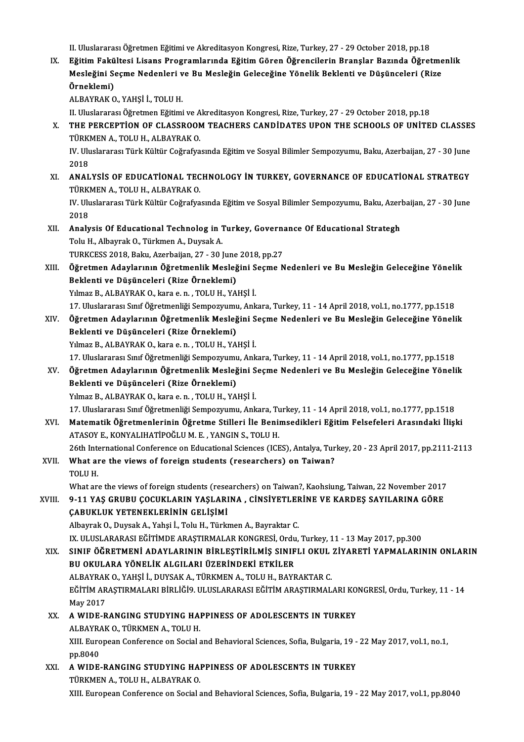II. Uluslararası Öğretmen Eğitimi ve Akreditasyon Kongresi, Rize, Turkey, 27 - 29 October 2018, pp.18

II. Uluslararası Öğretmen Eğitimi ve Akreditasyon Kongresi, Rize, Turkey, 27 - 29 October 2018, pp.18<br>IX. Eğitim Fakültesi Lisans Programlarında Eğitim Gören Öğrencilerin Branşlar Bazında Öğretmenlik<br>Mesleğini Sesme Na II. Uluslararası Öğretmen Eğitimi ve Akreditasyon Kongresi, Rize, Turkey, 27 - 29 October 2018, pp.18<br>Eğitim Fakültesi Lisans Programlarında Eğitim Gören Öğrencilerin Branşlar Bazında Öğretme<br>Mesleğini Seçme Nedenleri ve B Eğitim Fakü<br>Mesleğini Se<br>Örneklemi) Mesleğini Seçme Nedenleri ve Bu Mesleğin Geleceğine Yönelik Beklenti ve Düşünceleri (Rize<br>Örneklemi)<br>ALBAYRAK O., YAHŞİ İ., TOLU H.

II. Uluslararası Öğretmen Eğitimi ve Akreditasyon Kongresi, Rize, Turkey, 27 - 29 October 2018, pp.18

- ALBAYRAK O., YAHŞİ İ., TOLU H.<br>II. Uluslararası Öğretmen Eğitimi ve Akreditasyon Kongresi, Rize, Turkey, 27 29 October 2018, pp.18<br>X. THE PERCEPTION OF CLASSROOM TEACHERS CANDIDATES UPON THE SCHOOLS OF UNITED CLASSES II. Uluslararası Öğretmen Eğitimi ve A<br>THE PERCEPTİON OF CLASSROON<br>TÜRKMEN A., TOLU H., ALBAYRAK O.<br>W. Uluslararası Türk Kültür Coğrafya THE PERCEPTİON OF CLASSROOM TEACHERS CANDİDATES UPON THE SCHOOLS OF UNİTED CLASSE:<br>TÜRKMEN A., TOLU H., ALBAYRAK O.<br>IV. Uluslararası Türk Kültür Coğrafyasında Eğitim ve Sosyal Bilimler Sempozyumu, Baku, Azerbaijan, 27 - 30 TÜRKMEN A., TOLU H., ALBAYRAK O.<br>IV. Uluslararası Türk Kültür Coğrafyasında Eğitim ve Sosyal Bilimler Sempozyumu, Baku, Azerbaijan, 27 - 30 June<br>2018
- IV. Uluslararası Türk Kültür Coğrafyasında Eğitim ve Sosyal Bilimler Sempozyumu, Baku, Azerbaijan, 27 30 June<br>2018<br>XI. ANALYSİS OF EDUCATİONAL TECHNOLOGY İN TURKEY, GOVERNANCE OF EDUCATİONAL STRATEGY<br>TÜRKAEN A TOLU H. AL 2018<br>**ANALYSİS OF EDUCATİONAL TEC<br>TÜRKMEN A., TOLU H., ALBAYRAK O.**<br>W. Uluclararası Türk Kültür Coğrafır ANALYSİS OF EDUCATİONAL TECHNOLOGY İN TURKEY, GOVERNANCE OF EDUCATİONAL STRATEGY<br>TÜRKMEN A., TOLU H., ALBAYRAK O.<br>IV. Uluslararası Türk Kültür Coğrafyasında Eğitim ve Sosyal Bilimler Sempozyumu, Baku, Azerbaijan, 27 - 30 J TÜRKMEN A., TOLU H., ALBAYRAK O.<br>IV. Uluslararası Türk Kültür Coğrafyasında Eğitim ve Sosyal Bilimler Sempozyumu, Baku, Azerbaijan, 27 - 30 June<br>2018 IV. Uluslararası Türk Kültür Coğrafyasında Eğitim ve Sosyal Bilimler Sempozyumu, Baku, Azerl<br>2018<br>XII. Analysis Of Educational Technolog in Turkey, Governance Of Educational Strategh<br>Telu H. Albergek O. Türlmen A. Duys
- 2018<br>**Analysis Of Educational Technolog in** 1<br>Tolu H., Albayrak O., Türkmen A., Duysak A.<br>TURKCESS 2018, Balu, Agsrbajjan 27, 201 Analysis Of Educational Technolog in Turkey, Governa<br>Tolu H., Albayrak O., Türkmen A., Duysak A.<br>TURKCESS 2018, Baku, Azerbaijan, 27 - 30 June 2018, pp.27<br>Öğnetmen Adevlenının Öğnetmenlik Mesleğini Sesme N Tolu H., Albayrak O., Türkmen A., Duysak A.<br>TURKCESS 2018, Baku, Azerbaijan, 27 - 30 June 2018, pp.27<br>XIII. Öğretmen Adaylarının Öğretmenlik Mesleğini Seçme Nedenleri ve Bu Mesleğin Geleceğine Yönelik<br>Raklarti ve Düşün
- TURKCESS 2018, Baku, Azerbaijan, 27 30 June<br>Öğretmen Adaylarının Öğretmenlik Mesleğ<br>Beklenti ve Düşünceleri (Rize Örneklemi)<br><sup>Vilmog B. ALBAYRAK O. İmra ê B. TOLU H. YA</sup> Öğretmen Adaylarının Öğretmenlik Mesleğini S<br>Beklenti ve Düşünceleri (Rize Örneklemi)<br>Yılmaz B., ALBAYRAK O., kara e. n. , TOLU H., YAHŞİ İ.<br>17 Hluslarares Surf Öğretmenliği Semnegyumu, Anlı Beklenti ve Düşünceleri (Rize Örneklemi)<br>17. Ulmaz B., ALBAYRAK O., kara e. n. , TOLU H., YAHŞİ İ.<br>17. Uluslararası Sınıf Öğretmenliği Sempozyumu, Ankara, Turkey, 11 - 14 April 2018, vol.1, no.1777, pp.1518
- XIV. Öğretmen Adaylarının Öğretmenlik Mesleğini Seçme Nedenleri ve Bu Mesleğin Geleceğine Yönelik Beklenti ve Düşünceleri (Rize Örneklemi) Yılmaz B., ALBAYRAK O., kara e.n., TOLU H., YAHŞİ İ. Beklenti ve Düşünceleri (Rize Örneklemi)<br>Yılmaz B., ALBAYRAK O., kara e. n. , TOLU H., YAHŞİ İ.<br>17. Uluslararası Sınıf Öğretmenliği Sempozyumu, Ankara, Turkey, 11 - 14 April 2018, vol.1, no.1777, pp.1518<br>Öğretmen, Adavları

Yılmaz B., ALBAYRAK O., kara e. n. , TOLU H., YAHŞİ İ.<br>17. Uluslararası Sınıf Öğretmenliği Sempozyumu, Ankara, Turkey, 11 - 14 April 2018, vol.1, no.1777, pp.1518<br>20. Öğretmen Adaylarının Öğretmenlik Mesleğini Seçme Nedenl 17. Uluslararası Sınıf Öğretmenliği Sempozyum<br>Öğretmen Adaylarının Öğretmenlik Mesleğ<br>Beklenti ve Düşünceleri (Rize Örneklemi)<br><sup>Vilmog B. ALBAYBAK O. İrara ê B. TOLLIH VA</sup> XV. Öğretmen Adaylarının Öğretmenlik Mesleğini Seçme Nedenleri ve Bu Mesleğin Geleceğine Yönelik<br>Beklenti ve Düşünceleri (Rize Örneklemi)<br>Yılmaz B., ALBAYRAK O., kara e. n. , TOLU H., YAHŞİ İ. Beklenti ve Düşünceleri (Rize Örneklemi)<br>Yılmaz B., ALBAYRAK O., kara e. n. , TOLU H., YAHŞİ İ.<br>17. Uluslararası Sınıf Öğretmenliği Sempozyumu, Ankara, Turkey, 11 - 14 April 2018, vol.1, no.1777, pp.1518<br>Metemetik Öğretmen

- XVI. Matematik Öğretmenlerinin Öğretme Stilleri İle Benimsedikleri Eğitim Felsefeleri Arasındaki İlişki<br>ATASOY E., KONYALIHATİPOĞLU M. E. , YANGIN S., TOLU H. 17. Uluslararası Sınıf Öğretmenliği Sempozyumu, Ankara, Tu<br>Matematik Öğretmenlerinin Öğretme Stilleri İle Beni:<br>ATASOY E., KONYALIHATİPOĞLU M. E. , YANGIN S., TOLU H.<br>26th International Conference en Educational Sciences ( Matematik Öğretmenlerinin Öğretme Stilleri İle Benimsedikleri Eğitim Felsefeleri Arasındaki İlişki<br>ATASOY E., KONYALIHATİPOĞLU M. E. , YANGIN S., TOLU H.<br>26th International Conference on Educational Sciences (ICES), Antaly
- XVII. What are the views of foreign students (researchers) on Taiwan?<br>TOLU H. 26th Inte<br>What ar<br>TOLU H.<br>What are
- What are the views of foreign students (researchers) on Taiwan?, Kaohsiung, Taiwan, 22 November 2017
- XVIII. 9-11 YAŞ GRUBU ÇOCUKLARIN YAŞLARINA, CİNSİYETLERİNE VE KARDEŞ SAYILARINA GÖRE ÇABUKLUK YETENEKLERİNİN GELİŞİMİ ÇABUKLUK YETENEKLERİNİN GELİŞİMİ<br>Albayrak O., Duysak A., Yahşi İ., Tolu H., Türkmen A., Bayraktar C.<br>IX. ULUSLARARASI EĞİTİMDE ARAŞTIRMALAR KONGRESİ, Ordu, Turkey, 11 - 13 May 2017, pp.300<br>SINIE ÖĞRETMENİ ADAYI ARININ RİRI

AlbayrakO.,DuysakA.,Yahşi İ.,ToluH.,TürkmenA.,Bayraktar C.

### Albayrak O., Duysak A., Yahşi İ., Tolu H., Türkmen A., Bayraktar C.<br>IX. ULUSLARARASI EĞİTİMDE ARAŞTIRMALAR KONGRESİ, Ordu, Turkey, 11 - 13 May 2017, pp.300<br>XIX. SINIF ÖĞRETMENİ ADAYLARININ BİRLEŞTİRİLMİŞ SINIFLI OKUL Z IX. ULUSLARARASI EĞİTİMDE ARAŞTIRMALAR KONGRESİ, Ordu<br>SINIF ÖĞRETMENİ ADAYLARININ BİRLEŞTİRİLMİŞ SINIF<br>BU OKULARA YÖNELİK ALGILARI ÜZERİNDEKİ ETKİLER<br>ALBAYPAK O, YAHSİ İ, DIVSAK A, TÜRKMEN A, TOLU H, BAYB SINIF ÖĞRETMENİ ADAYLARININ BİRLEŞTİRİLMİŞ SINIFLI OKUL ZİYARETİ YAPMALARININ ONLARIN<br>BU OKULARA YÖNELİK ALGILARI ÜZERİNDEKİ ETKİLER

BU OKULARA YÖNELİK ALGILARI ÜZERİNDEKİ ETKİLER<br>ALBAYRAK O., YAHŞİ İ., DUYSAK A., TÜRKMEN A., TOLU H., BAYRAKTAR C.<br>EĞİTİM ARAŞTIRMALARI BİRLİĞİ9. ULUSLARARASI EĞİTİM ARAŞTIRMALARI KONGRESİ, Ordu, Turkey, 11 - 14<br>May 2017 ALBAYRAK O., YAHŞİ İ., DUYSAK A., TÜRKMEN A., TOLU H., BAYRAKTAR C.<br>EĞİTİM ARAŞTIRMALARI BİRLİĞİ9. ULUSLARARASI EĞİTİM ARAŞTIRMAL.<br>May 2017 EĞİTİM ARAŞTIRMALARI BİRLİĞİ9. ULUSLARARASI EĞİTİM ARAŞTIRMALARI KO<br>XX. A WIDE-RANGING STUDYING HAPPINESS OF ADOLESCENTS IN TURKEY<br>ALBAYRAK O, TÜRKMEN A, TOLU H

- XX. A WIDE-RANGING STUDYING HAPPINESS OF ADOLESCENTS IN TURKEY<br>ALBAYRAK O., TÜRKMEN A., TOLU H. A WIDE-RANGING STUDYING HAPPINESS OF ADOLESCENTS IN TURKEY<br>ALBAYRAK O., TÜRKMEN A., TOLU H.<br>XIII. European Conference on Social and Behavioral Sciences, Sofia, Bulgaria, 19 - 22 May 2017, vol.1, no.1,<br>nn <sup>9040</sup> ALBAYRA<br>XIII. Euro<br>pp.8040<br>A. WIDE XIII. European Conference on Social and Behavioral Sciences, Sofia, Bulgaria, 19 -<br>pp.8040<br>XXI. A WIDE-RANGING STUDYING HAPPINESS OF ADOLESCENTS IN TURKEY
- pp.8040<br>**A WIDE-RANGING STUDYING HA**I<br>TÜRKMEN A., TOLU H., ALBAYRAK O.<br>YIIL European Conforance on Social s TÜRKMEN A., TOLU H., ALBAYRAK O.<br>XIII. European Conference on Social and Behavioral Sciences, Sofia, Bulgaria, 19 - 22 May 2017, vol.1, pp.8040